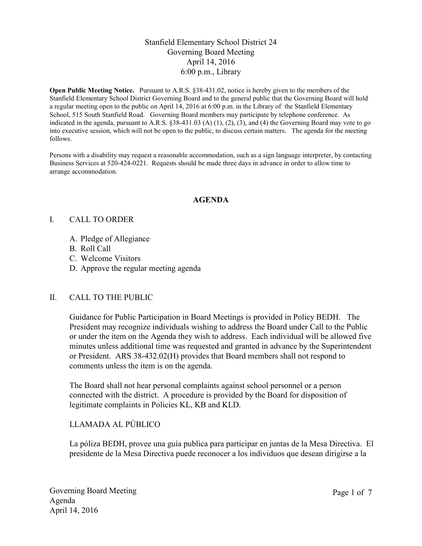## Stanfield Elementary School District 24 Governing Board Meeting April 14, 2016 6:00 p.m., Library

**Open Public Meeting Notice.** Pursuant to A.R.S. §38-431.02, notice is hereby given to the members of the Stanfield Elementary School District Governing Board and to the general public that the Governing Board will hold a regular meeting open to the public on April 14, 2016 at 6:00 p.m. in the Library of the Stanfield Elementary School, 515 South Stanfield Road. Governing Board members may participate by telephone conference. As indicated in the agenda, pursuant to A.R.S.  $\S 38-431.03$  (A) (1), (2), (3), and (4) the Governing Board may vote to go into executive session, which will not be open to the public, to discuss certain matters. The agenda for the meeting follows.

Persons with a disability may request a reasonable accommodation, such as a sign language interpreter, by contacting Business Services at 520-424-0221. Requests should be made three days in advance in order to allow time to arrange accommodation.

#### **AGENDA**

#### I. CALL TO ORDER

- A. Pledge of Allegiance
- B. Roll Call
- C. Welcome Visitors
- D. Approve the regular meeting agenda

## II. CALL TO THE PUBLIC

Guidance for Public Participation in Board Meetings is provided in Policy BEDH. The President may recognize individuals wishing to address the Board under Call to the Public or under the item on the Agenda they wish to address. Each individual will be allowed five minutes unless additional time was requested and granted in advance by the Superintendent or President. ARS 38-432.02(H) provides that Board members shall not respond to comments unless the item is on the agenda.

The Board shall not hear personal complaints against school personnel or a person connected with the district. A procedure is provided by the Board for disposition of legitimate complaints in Policies KL, KB and KLD.

# LLAMADA AL PÚBLICO

La póliza BEDH, provee una guía publica para participar en juntas de la Mesa Directiva. El presidente de la Mesa Directiva puede reconocer a los individuos que desean dirigirse a la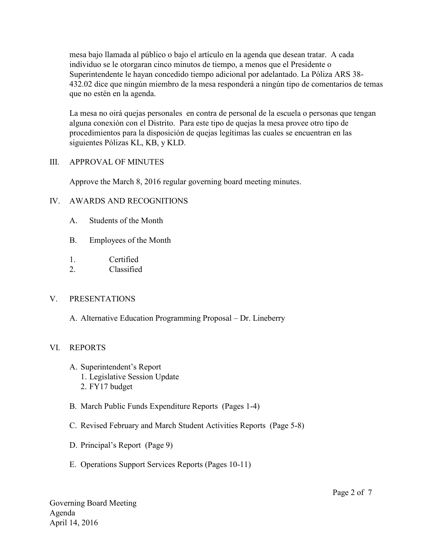mesa bajo llamada al público o bajo el artículo en la agenda que desean tratar. A cada individuo se le otorgaran cinco minutos de tiempo, a menos que el Presidente o Superintendente le hayan concedido tiempo adicional por adelantado. La Póliza ARS 38- 432.02 dice que ningún miembro de la mesa responderá a ningún tipo de comentarios de temas que no estén en la agenda.

La mesa no oirá quejas personales en contra de personal de la escuela o personas que tengan alguna conexión con el Distrito. Para este tipo de quejas la mesa provee otro tipo de procedimientos para la disposición de quejas legítimas las cuales se encuentran en las siguientes Pólizas KL, KB, y KLD.

#### III. APPROVAL OF MINUTES

Approve the March 8, 2016 regular governing board meeting minutes.

## IV. AWARDS AND RECOGNITIONS

- A. Students of the Month
- B. Employees of the Month
- 1. Certified
- 2. Classified

## V. PRESENTATIONS

A. Alternative Education Programming Proposal – Dr. Lineberry

# VI. REPORTS

- A. Superintendent's Report 1. Legislative Session Update
	- 2. FY17 budget
- B. March Public Funds Expenditure Reports (Pages 1-4)
- C. Revised February and March Student Activities Reports (Page 5-8)
- D. Principal's Report (Page 9)
- E. Operations Support Services Reports (Pages 10-11)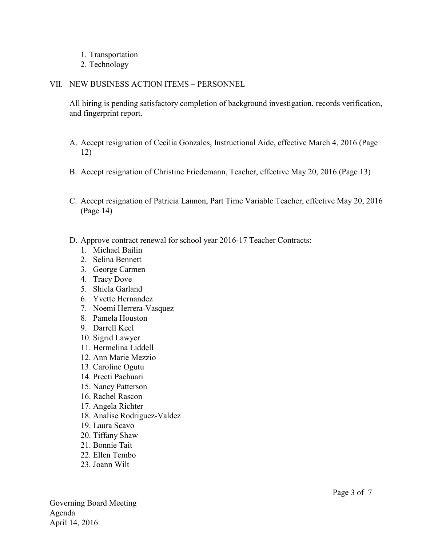- 1. Transportation
- 2. Technology

#### VII. NEW BUSINESS ACTION ITEMS – PERSONNEL

All hiring is pending satisfactory completion of background investigation, records verification, and fingerprint report.

- A. Accept resignation of Cecilia Gonzales, Instructional Aide, effective March 4, 2016 (Page 12)
- B. Accept resignation of Christine Friedemann, Teacher, effective May 20, 2016 (Page 13)
- C. Accept resignation of Patricia Lannon, Part Time Variable Teacher, effective May 20, 2016 (Page 14)
- D. Approve contract renewal for school year 2016-17 Teacher Contracts:
	- 1. Michael Bailin
	- 2. Selina Bennett
	- 3. George Carmen
	- 4. Tracy Dove
	- 5. Shiela Garland
	- 6. Yvette Hernandez
	- 7. Noemi Herrera-Vasquez
	- 8. Pamela Houston
	- 9. Darrell Keel
	- 10. Sigrid Lawyer
	- 11. Hermelina Liddell
	- 12. Ann Marie Mezzio
	- 13. Caroline Ogutu
	- 14. Preeti Pachuari
	- 15. Nancy Patterson
	- 16. Rachel Rascon
	- 17. Angela Richter
	- 18. Analise Rodriguez-Valdez
	- 19. Laura Scavo
	- 20. Tiffany Shaw
	- 21. Bonnie Tait
	- 22. Ellen Tembo
	- 23. Joann Wilt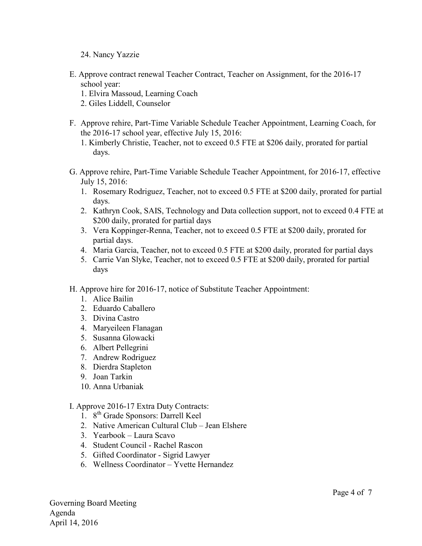- 24. Nancy Yazzie
- E. Approve contract renewal Teacher Contract, Teacher on Assignment, for the 2016-17 school year:
	- 1. Elvira Massoud, Learning Coach
	- 2. Giles Liddell, Counselor
- F. Approve rehire, Part-Time Variable Schedule Teacher Appointment, Learning Coach, for the 2016-17 school year, effective July 15, 2016:
	- 1. Kimberly Christie, Teacher, not to exceed 0.5 FTE at \$206 daily, prorated for partial days.
- G. Approve rehire, Part-Time Variable Schedule Teacher Appointment, for 2016-17, effective July 15, 2016:
	- 1. Rosemary Rodriguez, Teacher, not to exceed 0.5 FTE at \$200 daily, prorated for partial days.
	- 2. Kathryn Cook, SAIS, Technology and Data collection support, not to exceed 0.4 FTE at \$200 daily, prorated for partial days
	- 3. Vera Koppinger-Renna, Teacher, not to exceed 0.5 FTE at \$200 daily, prorated for partial days.
	- 4. Maria Garcia, Teacher, not to exceed 0.5 FTE at \$200 daily, prorated for partial days
	- 5. Carrie Van Slyke, Teacher, not to exceed 0.5 FTE at \$200 daily, prorated for partial days
- H. Approve hire for 2016-17, notice of Substitute Teacher Appointment:
	- 1. Alice Bailin
	- 2. Eduardo Caballero
	- 3. Divina Castro
	- 4. Maryeileen Flanagan
	- 5. Susanna Glowacki
	- 6. Albert Pellegrini
	- 7. Andrew Rodriguez
	- 8. Dierdra Stapleton
	- 9. Joan Tarkin
	- 10. Anna Urbaniak

## I. Approve 2016-17 Extra Duty Contracts:

- 1. 8<sup>th</sup> Grade Sponsors: Darrell Keel
- 2. Native American Cultural Club Jean Elshere
- 3. Yearbook Laura Scavo
- 4. Student Council Rachel Rascon
- 5. Gifted Coordinator Sigrid Lawyer
- 6. Wellness Coordinator Yvette Hernandez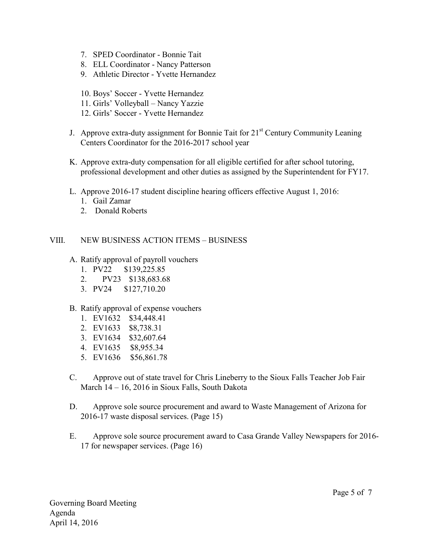- 7. SPED Coordinator Bonnie Tait
- 8. ELL Coordinator Nancy Patterson
- 9. Athletic Director Yvette Hernandez
- 10. Boys' Soccer Yvette Hernandez
- 11. Girls' Volleyball Nancy Yazzie
- 12. Girls' Soccer Yvette Hernandez
- J. Approve extra-duty assignment for Bonnie Tait for  $21<sup>st</sup>$  Century Community Leaning Centers Coordinator for the 2016-2017 school year
- K. Approve extra-duty compensation for all eligible certified for after school tutoring, professional development and other duties as assigned by the Superintendent for FY17.
- L. Approve 2016-17 student discipline hearing officers effective August 1, 2016:
	- 1. Gail Zamar
	- 2. Donald Roberts

## VIII. NEW BUSINESS ACTION ITEMS – BUSINESS

- A. Ratify approval of payroll vouchers
	- 1. PV22 \$139,225.85
	- 2. PV23 \$138,683.68
	- 3. PV24 \$127,710.20

## B. Ratify approval of expense vouchers

- 1. EV1632 \$34,448.41
- 2. EV1633 \$8,738.31
- 3. EV1634 \$32,607.64
- 4. EV1635 \$8,955.34
- 5. EV1636 \$56,861.78
- C. Approve out of state travel for Chris Lineberry to the Sioux Falls Teacher Job Fair March 14 – 16, 2016 in Sioux Falls, South Dakota
- D. Approve sole source procurement and award to Waste Management of Arizona for 2016-17 waste disposal services. (Page 15)
- E. Approve sole source procurement award to Casa Grande Valley Newspapers for 2016- 17 for newspaper services. (Page 16)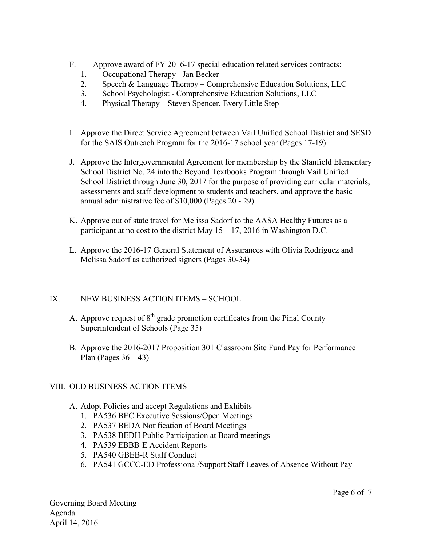- F. Approve award of FY 2016-17 special education related services contracts:
	- 1. Occupational Therapy Jan Becker
	- 2. Speech & Language Therapy Comprehensive Education Solutions, LLC
	- 3. School Psychologist Comprehensive Education Solutions, LLC
	- 4. Physical Therapy Steven Spencer, Every Little Step
- I. Approve the Direct Service Agreement between Vail Unified School District and SESD for the SAIS Outreach Program for the 2016-17 school year (Pages 17-19)
- J. Approve the Intergovernmental Agreement for membership by the Stanfield Elementary School District No. 24 into the Beyond Textbooks Program through Vail Unified School District through June 30, 2017 for the purpose of providing curricular materials, assessments and staff development to students and teachers, and approve the basic annual administrative fee of \$10,000 (Pages 20 - 29)
- K. Approve out of state travel for Melissa Sadorf to the AASA Healthy Futures as a participant at no cost to the district May  $15 - 17$ , 2016 in Washington D.C.
- L. Approve the 2016-17 General Statement of Assurances with Olivia Rodriguez and Melissa Sadorf as authorized signers (Pages 30-34)

## IX. NEW BUSINESS ACTION ITEMS – SCHOOL

- A. Approve request of  $8<sup>th</sup>$  grade promotion certificates from the Pinal County Superintendent of Schools (Page 35)
- B. Approve the 2016-2017 Proposition 301 Classroom Site Fund Pay for Performance Plan (Pages  $36 - 43$ )

# VIII. OLD BUSINESS ACTION ITEMS

- A. Adopt Policies and accept Regulations and Exhibits
	- 1. PA536 BEC Executive Sessions/Open Meetings
	- 2. PA537 BEDA Notification of Board Meetings
	- 3. PA538 BEDH Public Participation at Board meetings
	- 4. PA539 EBBB-E Accident Reports
	- 5. PA540 GBEB-R Staff Conduct
	- 6. PA541 GCCC-ED Professional/Support Staff Leaves of Absence Without Pay